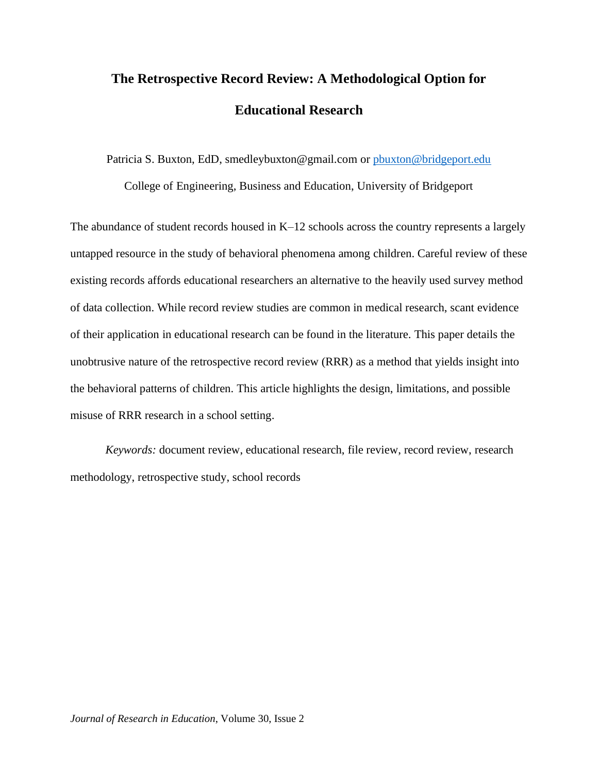# **The Retrospective Record Review: A Methodological Option for Educational Research**

Patricia S. Buxton, EdD, smedleybuxton@gmail.com or [pbuxton@bridgeport.edu](mailto:pbuxton@bridgeport.edu)

College of Engineering, Business and Education, University of Bridgeport

The abundance of student records housed in K–12 schools across the country represents a largely untapped resource in the study of behavioral phenomena among children. Careful review of these existing records affords educational researchers an alternative to the heavily used survey method of data collection. While record review studies are common in medical research, scant evidence of their application in educational research can be found in the literature. This paper details the unobtrusive nature of the retrospective record review (RRR) as a method that yields insight into the behavioral patterns of children. This article highlights the design, limitations, and possible misuse of RRR research in a school setting.

*Keywords:* document review, educational research, file review, record review, research methodology, retrospective study, school records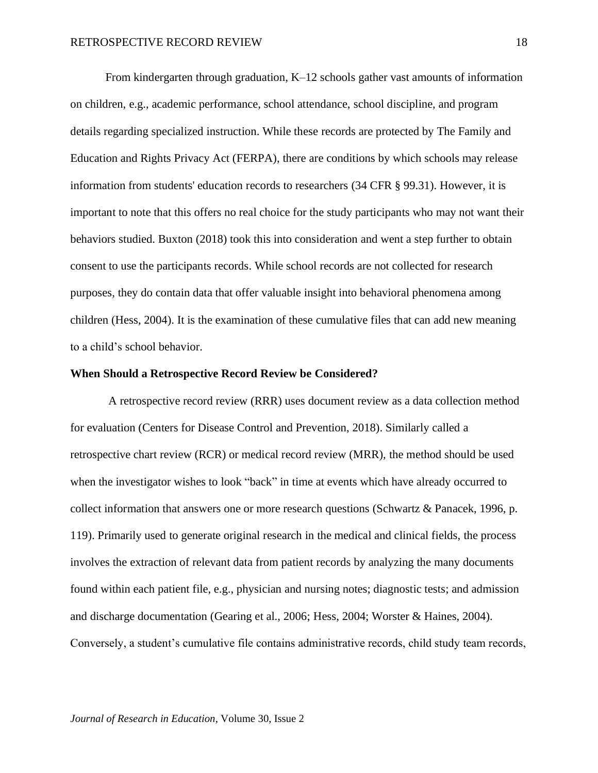From kindergarten through graduation, K–12 schools gather vast amounts of information on children, e.g., academic performance, school attendance, school discipline, and program details regarding specialized instruction. While these records are protected by The Family and Education and Rights Privacy Act (FERPA), there are conditions by which schools may release information from students' education records to researchers (34 CFR § 99.31). However, it is important to note that this offers no real choice for the study participants who may not want their behaviors studied. Buxton (2018) took this into consideration and went a step further to obtain consent to use the participants records. While school records are not collected for research purposes, they do contain data that offer valuable insight into behavioral phenomena among children (Hess, 2004). It is the examination of these cumulative files that can add new meaning to a child's school behavior.

## **When Should a Retrospective Record Review be Considered?**

A retrospective record review (RRR) uses document review as a data collection method for evaluation (Centers for Disease Control and Prevention, 2018). Similarly called a retrospective chart review (RCR) or medical record review (MRR), the method should be used when the investigator wishes to look "back" in time at events which have already occurred to collect information that answers one or more research questions (Schwartz & Panacek, 1996, p. 119). Primarily used to generate original research in the medical and clinical fields, the process involves the extraction of relevant data from patient records by analyzing the many documents found within each patient file, e.g., physician and nursing notes; diagnostic tests; and admission and discharge documentation (Gearing et al., 2006; Hess, 2004; Worster & Haines, 2004). Conversely, a student's cumulative file contains administrative records, child study team records,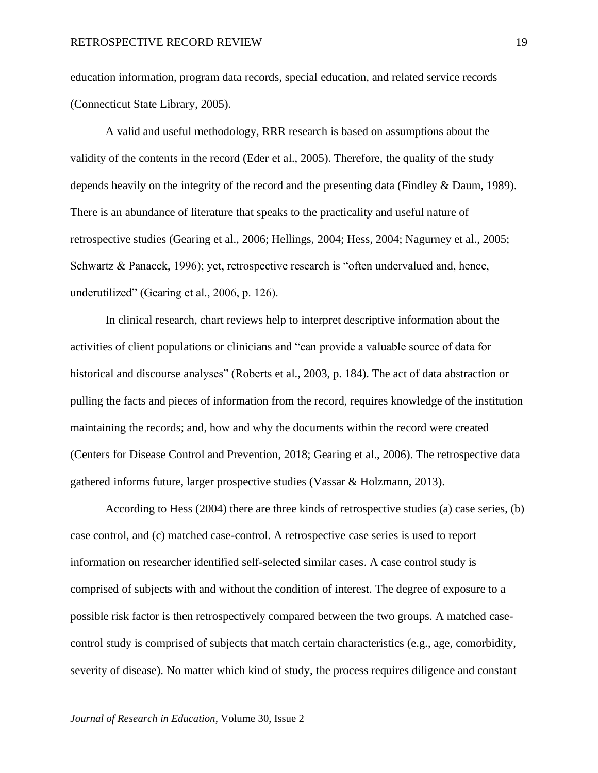education information, program data records, special education, and related service records (Connecticut State Library, 2005).

A valid and useful methodology, RRR research is based on assumptions about the validity of the contents in the record (Eder et al., 2005). Therefore, the quality of the study depends heavily on the integrity of the record and the presenting data (Findley & Daum, 1989). There is an abundance of literature that speaks to the practicality and useful nature of retrospective studies (Gearing et al., 2006; Hellings, 2004; Hess, 2004; Nagurney et al., 2005; Schwartz & Panacek, 1996); yet, retrospective research is "often undervalued and, hence, underutilized" (Gearing et al., 2006, p. 126).

In clinical research, chart reviews help to interpret descriptive information about the activities of client populations or clinicians and "can provide a valuable source of data for historical and discourse analyses" (Roberts et al., 2003, p. 184). The act of data abstraction or pulling the facts and pieces of information from the record, requires knowledge of the institution maintaining the records; and, how and why the documents within the record were created (Centers for Disease Control and Prevention, 2018; Gearing et al., 2006). The retrospective data gathered informs future, larger prospective studies (Vassar & Holzmann, 2013).

According to Hess (2004) there are three kinds of retrospective studies (a) case series, (b) case control, and (c) matched case-control. A retrospective case series is used to report information on researcher identified self-selected similar cases. A case control study is comprised of subjects with and without the condition of interest. The degree of exposure to a possible risk factor is then retrospectively compared between the two groups. A matched casecontrol study is comprised of subjects that match certain characteristics (e.g., age, comorbidity, severity of disease). No matter which kind of study, the process requires diligence and constant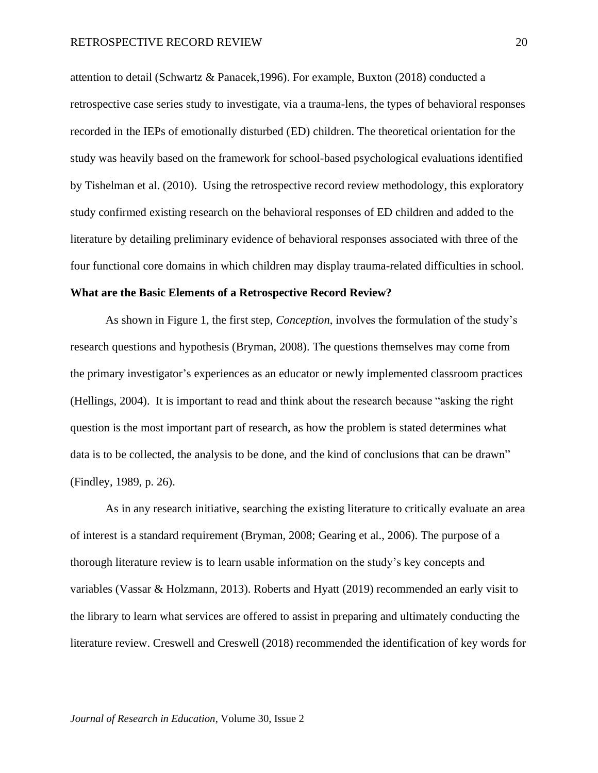attention to detail (Schwartz & Panacek,1996). For example, Buxton (2018) conducted a retrospective case series study to investigate, via a trauma-lens, the types of behavioral responses recorded in the IEPs of emotionally disturbed (ED) children. The theoretical orientation for the study was heavily based on the framework for school-based psychological evaluations identified by Tishelman et al. (2010). Using the retrospective record review methodology, this exploratory study confirmed existing research on the behavioral responses of ED children and added to the literature by detailing preliminary evidence of behavioral responses associated with three of the four functional core domains in which children may display trauma-related difficulties in school.

# **What are the Basic Elements of a Retrospective Record Review?**

As shown in Figure 1, the first step, *Conception*, involves the formulation of the study's research questions and hypothesis (Bryman, 2008). The questions themselves may come from the primary investigator's experiences as an educator or newly implemented classroom practices (Hellings, 2004). It is important to read and think about the research because "asking the right question is the most important part of research, as how the problem is stated determines what data is to be collected, the analysis to be done, and the kind of conclusions that can be drawn" (Findley, 1989, p. 26).

As in any research initiative, searching the existing literature to critically evaluate an area of interest is a standard requirement (Bryman, 2008; Gearing et al., 2006). The purpose of a thorough literature review is to learn usable information on the study's key concepts and variables (Vassar & Holzmann, 2013). Roberts and Hyatt (2019) recommended an early visit to the library to learn what services are offered to assist in preparing and ultimately conducting the literature review. Creswell and Creswell (2018) recommended the identification of key words for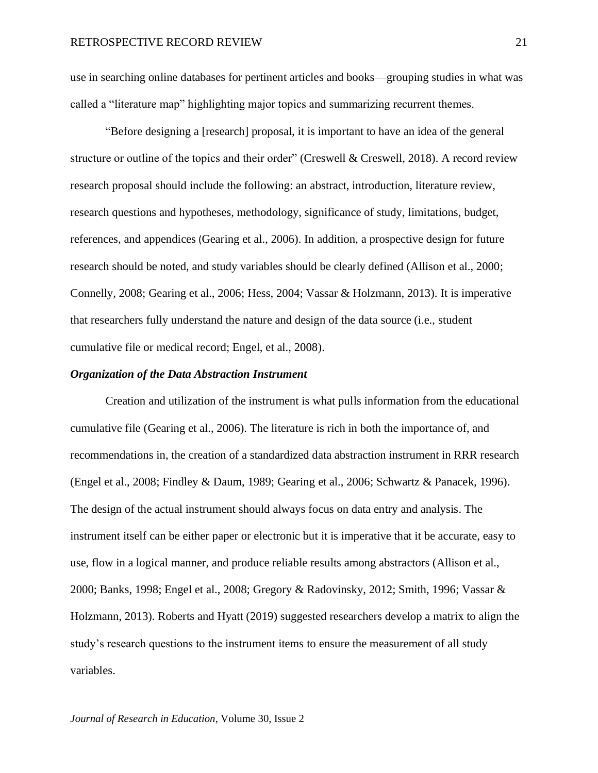use in searching online databases for pertinent articles and books—grouping studies in what was called a "literature map" highlighting major topics and summarizing recurrent themes.

"Before designing a [research] proposal, it is important to have an idea of the general structure or outline of the topics and their order" (Creswell & Creswell, 2018). A record review research proposal should include the following: an abstract, introduction, literature review, research questions and hypotheses, methodology, significance of study, limitations, budget, references, and appendices (Gearing et al., 2006). In addition, a prospective design for future research should be noted, and study variables should be clearly defined (Allison et al., 2000; Connelly, 2008; Gearing et al., 2006; Hess, 2004; Vassar & Holzmann, 2013). It is imperative that researchers fully understand the nature and design of the data source (i.e., student cumulative file or medical record; Engel, et al., 2008).

#### *Organization of the Data Abstraction Instrument*

Creation and utilization of the instrument is what pulls information from the educational cumulative file (Gearing et al., 2006). The literature is rich in both the importance of, and recommendations in, the creation of a standardized data abstraction instrument in RRR research (Engel et al., 2008; Findley & Daum, 1989; Gearing et al., 2006; Schwartz & Panacek, 1996). The design of the actual instrument should always focus on data entry and analysis. The instrument itself can be either paper or electronic but it is imperative that it be accurate, easy to use, flow in a logical manner, and produce reliable results among abstractors (Allison et al., 2000; Banks, 1998; Engel et al., 2008; Gregory & Radovinsky, 2012; Smith, 1996; Vassar & Holzmann, 2013). Roberts and Hyatt (2019) suggested researchers develop a matrix to align the study's research questions to the instrument items to ensure the measurement of all study variables.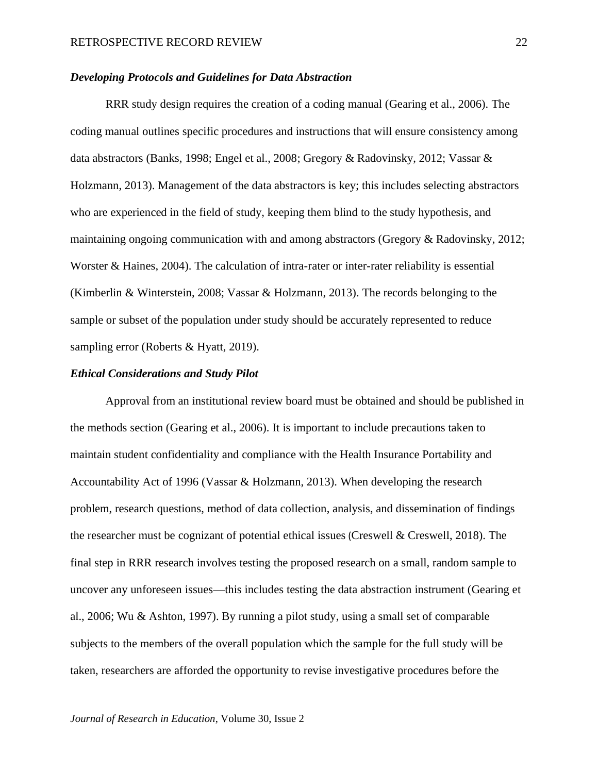# *Developing Protocols and Guidelines for Data Abstraction*

RRR study design requires the creation of a coding manual (Gearing et al., 2006). The coding manual outlines specific procedures and instructions that will ensure consistency among data abstractors (Banks, 1998; Engel et al., 2008; Gregory & Radovinsky, 2012; Vassar & Holzmann, 2013). Management of the data abstractors is key; this includes selecting abstractors who are experienced in the field of study, keeping them blind to the study hypothesis, and maintaining ongoing communication with and among abstractors (Gregory & Radovinsky, 2012; Worster & Haines, 2004). The calculation of intra-rater or inter-rater reliability is essential (Kimberlin & Winterstein, 2008; Vassar & Holzmann, 2013). The records belonging to the sample or subset of the population under study should be accurately represented to reduce sampling error (Roberts & Hyatt, 2019).

# *Ethical Considerations and Study Pilot*

Approval from an institutional review board must be obtained and should be published in the methods section (Gearing et al., 2006). It is important to include precautions taken to maintain student confidentiality and compliance with the Health Insurance Portability and Accountability Act of 1996 (Vassar & Holzmann, 2013). When developing the research problem, research questions, method of data collection, analysis, and dissemination of findings the researcher must be cognizant of potential ethical issues (Creswell & Creswell, 2018). The final step in RRR research involves testing the proposed research on a small, random sample to uncover any unforeseen issues—this includes testing the data abstraction instrument (Gearing et al., 2006; Wu & Ashton, 1997). By running a pilot study, using a small set of comparable subjects to the members of the overall population which the sample for the full study will be taken, researchers are afforded the opportunity to revise investigative procedures before the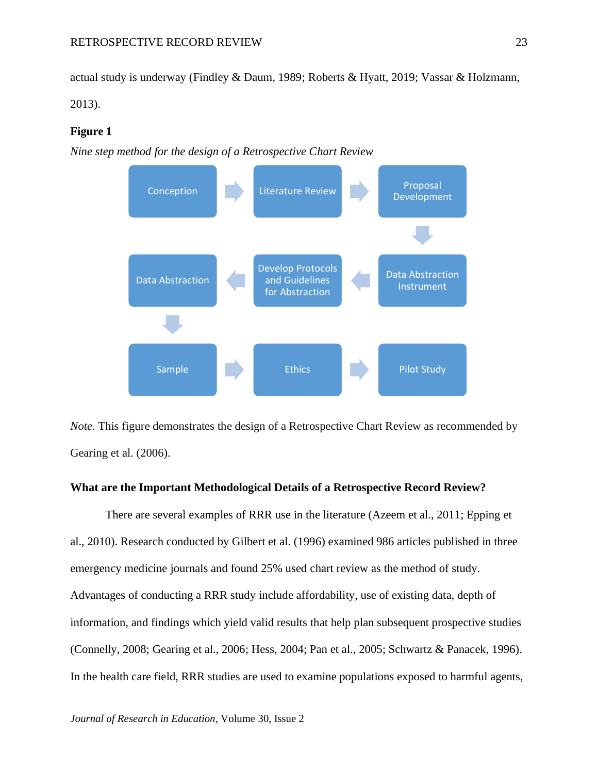actual study is underway (Findley & Daum, 1989; Roberts & Hyatt, 2019; Vassar & Holzmann,

2013).

## **Figure 1**

*Nine step method for the design of a Retrospective Chart Review*



*Note*. This figure demonstrates the design of a Retrospective Chart Review as recommended by Gearing et al. (2006).

## **What are the Important Methodological Details of a Retrospective Record Review?**

There are several examples of RRR use in the literature (Azeem et al., 2011; Epping et al., 2010). Research conducted by Gilbert et al. (1996) examined 986 articles published in three emergency medicine journals and found 25% used chart review as the method of study. Advantages of conducting a RRR study include affordability, use of existing data, depth of information, and findings which yield valid results that help plan subsequent prospective studies (Connelly, 2008; Gearing et al., 2006; Hess, 2004; Pan et al., 2005; Schwartz & Panacek, 1996). In the health care field, RRR studies are used to examine populations exposed to harmful agents,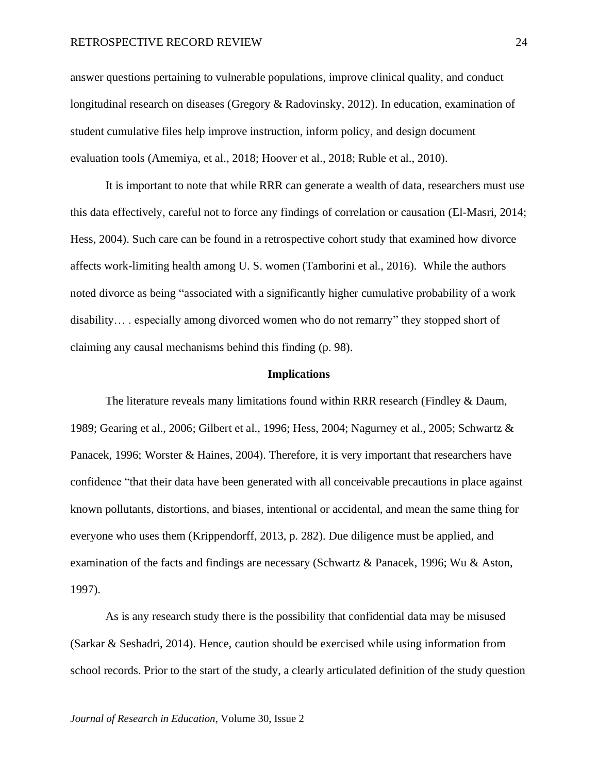## RETROSPECTIVE RECORD REVIEW 24

answer questions pertaining to vulnerable populations, improve clinical quality, and conduct longitudinal research on diseases (Gregory & Radovinsky, 2012). In education, examination of student cumulative files help improve instruction, inform policy, and design document evaluation tools (Amemiya, et al., 2018; Hoover et al., 2018; Ruble et al., 2010).

It is important to note that while RRR can generate a wealth of data, researchers must use this data effectively, careful not to force any findings of correlation or causation (El-Masri, 2014; Hess, 2004). Such care can be found in a retrospective cohort study that examined how divorce affects work-limiting health among U. S. women (Tamborini et al., 2016). While the authors noted divorce as being "associated with a significantly higher cumulative probability of a work disability… . especially among divorced women who do not remarry" they stopped short of claiming any causal mechanisms behind this finding (p. 98).

#### **Implications**

The literature reveals many limitations found within RRR research (Findley & Daum, 1989; Gearing et al., 2006; Gilbert et al., 1996; Hess, 2004; Nagurney et al., 2005; Schwartz & Panacek, 1996; Worster & Haines, 2004). Therefore, it is very important that researchers have confidence "that their data have been generated with all conceivable precautions in place against known pollutants, distortions, and biases, intentional or accidental, and mean the same thing for everyone who uses them (Krippendorff, 2013, p. 282). Due diligence must be applied, and examination of the facts and findings are necessary (Schwartz & Panacek, 1996; Wu & Aston, 1997).

As is any research study there is the possibility that confidential data may be misused (Sarkar & Seshadri, 2014). Hence, caution should be exercised while using information from school records. Prior to the start of the study, a clearly articulated definition of the study question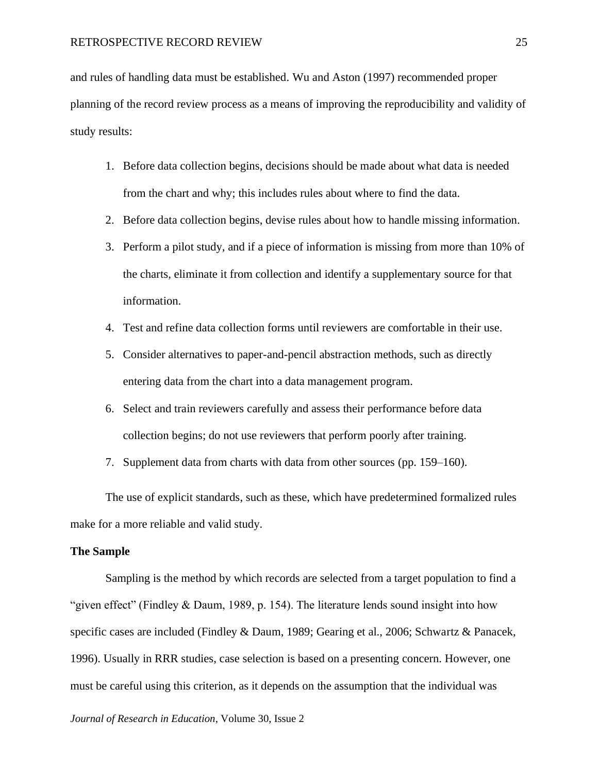and rules of handling data must be established. Wu and Aston (1997) recommended proper planning of the record review process as a means of improving the reproducibility and validity of study results:

- 1. Before data collection begins, decisions should be made about what data is needed from the chart and why; this includes rules about where to find the data.
- 2. Before data collection begins, devise rules about how to handle missing information.
- 3. Perform a pilot study, and if a piece of information is missing from more than 10% of the charts, eliminate it from collection and identify a supplementary source for that information.
- 4. Test and refine data collection forms until reviewers are comfortable in their use.
- 5. Consider alternatives to paper-and-pencil abstraction methods, such as directly entering data from the chart into a data management program.
- 6. Select and train reviewers carefully and assess their performance before data collection begins; do not use reviewers that perform poorly after training.
- 7. Supplement data from charts with data from other sources (pp. 159–160).

The use of explicit standards, such as these, which have predetermined formalized rules make for a more reliable and valid study.

## **The Sample**

Sampling is the method by which records are selected from a target population to find a "given effect" (Findley & Daum, 1989, p. 154). The literature lends sound insight into how specific cases are included (Findley & Daum, 1989; Gearing et al., 2006; Schwartz & Panacek, 1996). Usually in RRR studies, case selection is based on a presenting concern. However, one must be careful using this criterion, as it depends on the assumption that the individual was

*Journal of Research in Education*, Volume 30, Issue 2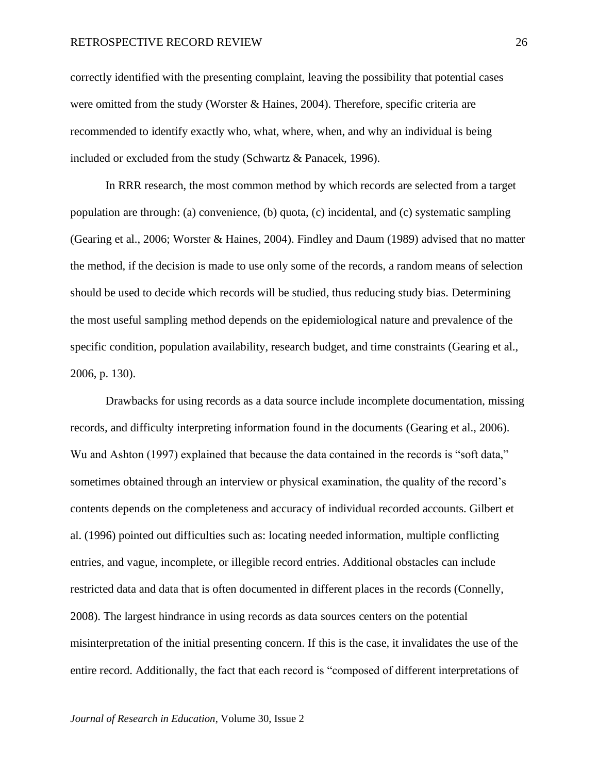correctly identified with the presenting complaint, leaving the possibility that potential cases were omitted from the study (Worster & Haines, 2004). Therefore, specific criteria are recommended to identify exactly who, what, where, when, and why an individual is being included or excluded from the study (Schwartz & Panacek, 1996).

In RRR research, the most common method by which records are selected from a target population are through: (a) convenience, (b) quota, (c) incidental, and (c) systematic sampling (Gearing et al., 2006; Worster & Haines, 2004). Findley and Daum (1989) advised that no matter the method, if the decision is made to use only some of the records, a random means of selection should be used to decide which records will be studied, thus reducing study bias. Determining the most useful sampling method depends on the epidemiological nature and prevalence of the specific condition, population availability, research budget, and time constraints (Gearing et al., 2006, p. 130).

Drawbacks for using records as a data source include incomplete documentation, missing records, and difficulty interpreting information found in the documents (Gearing et al., 2006). Wu and Ashton (1997) explained that because the data contained in the records is "soft data," sometimes obtained through an interview or physical examination, the quality of the record's contents depends on the completeness and accuracy of individual recorded accounts. Gilbert et al. (1996) pointed out difficulties such as: locating needed information, multiple conflicting entries, and vague, incomplete, or illegible record entries. Additional obstacles can include restricted data and data that is often documented in different places in the records (Connelly, 2008). The largest hindrance in using records as data sources centers on the potential misinterpretation of the initial presenting concern. If this is the case, it invalidates the use of the entire record. Additionally, the fact that each record is "composed of different interpretations of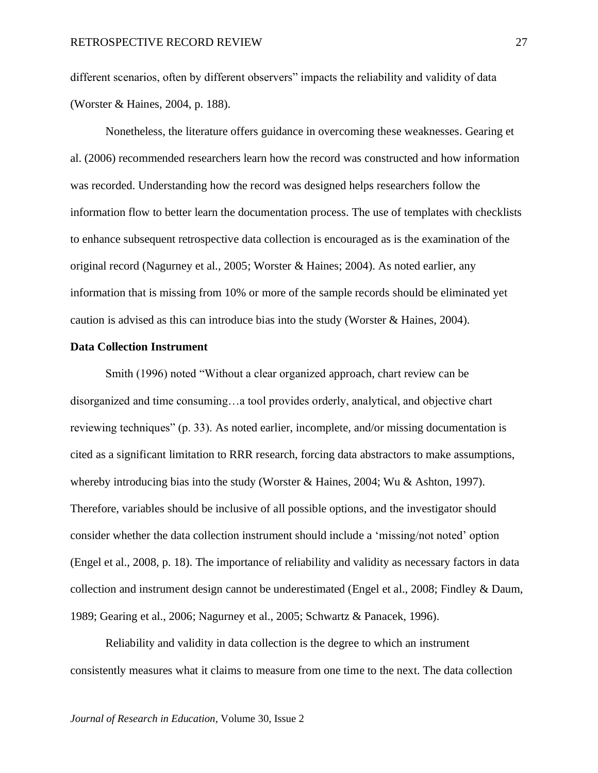different scenarios, often by different observers" impacts the reliability and validity of data (Worster & Haines, 2004, p. 188).

Nonetheless, the literature offers guidance in overcoming these weaknesses. Gearing et al. (2006) recommended researchers learn how the record was constructed and how information was recorded. Understanding how the record was designed helps researchers follow the information flow to better learn the documentation process. The use of templates with checklists to enhance subsequent retrospective data collection is encouraged as is the examination of the original record (Nagurney et al., 2005; Worster & Haines; 2004). As noted earlier, any information that is missing from 10% or more of the sample records should be eliminated yet caution is advised as this can introduce bias into the study (Worster & Haines, 2004).

# **Data Collection Instrument**

Smith (1996) noted "Without a clear organized approach, chart review can be disorganized and time consuming…a tool provides orderly, analytical, and objective chart reviewing techniques" (p. 33). As noted earlier, incomplete, and/or missing documentation is cited as a significant limitation to RRR research, forcing data abstractors to make assumptions, whereby introducing bias into the study (Worster & Haines, 2004; Wu & Ashton, 1997). Therefore, variables should be inclusive of all possible options, and the investigator should consider whether the data collection instrument should include a 'missing/not noted' option (Engel et al., 2008, p. 18). The importance of reliability and validity as necessary factors in data collection and instrument design cannot be underestimated (Engel et al., 2008; Findley & Daum, 1989; Gearing et al., 2006; Nagurney et al., 2005; Schwartz & Panacek, 1996).

Reliability and validity in data collection is the degree to which an instrument consistently measures what it claims to measure from one time to the next. The data collection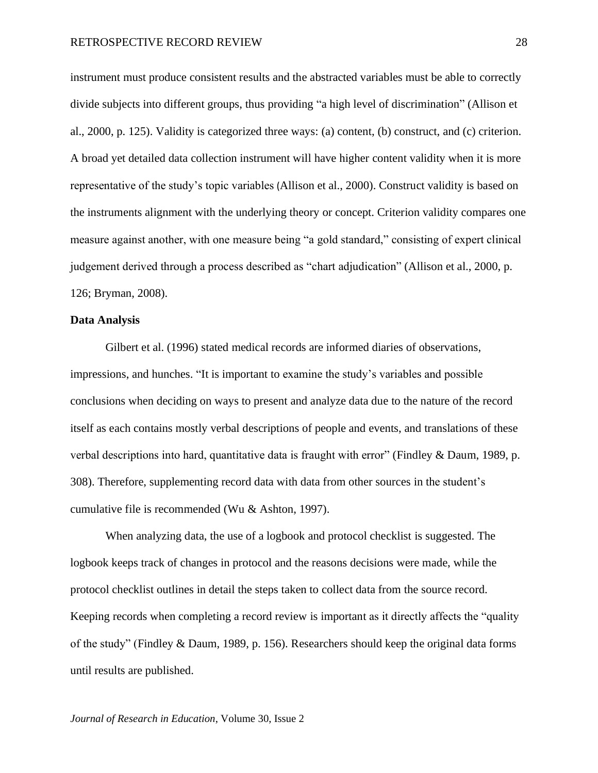instrument must produce consistent results and the abstracted variables must be able to correctly divide subjects into different groups, thus providing "a high level of discrimination" (Allison et al., 2000, p. 125). Validity is categorized three ways: (a) content, (b) construct, and (c) criterion. A broad yet detailed data collection instrument will have higher content validity when it is more representative of the study's topic variables (Allison et al., 2000). Construct validity is based on the instruments alignment with the underlying theory or concept. Criterion validity compares one measure against another, with one measure being "a gold standard," consisting of expert clinical judgement derived through a process described as "chart adjudication" (Allison et al., 2000, p. 126; Bryman, 2008).

# **Data Analysis**

Gilbert et al. (1996) stated medical records are informed diaries of observations, impressions, and hunches. "It is important to examine the study's variables and possible conclusions when deciding on ways to present and analyze data due to the nature of the record itself as each contains mostly verbal descriptions of people and events, and translations of these verbal descriptions into hard, quantitative data is fraught with error" (Findley & Daum, 1989, p. 308). Therefore, supplementing record data with data from other sources in the student's cumulative file is recommended (Wu & Ashton, 1997).

When analyzing data, the use of a logbook and protocol checklist is suggested. The logbook keeps track of changes in protocol and the reasons decisions were made, while the protocol checklist outlines in detail the steps taken to collect data from the source record. Keeping records when completing a record review is important as it directly affects the "quality of the study" (Findley & Daum, 1989, p. 156). Researchers should keep the original data forms until results are published.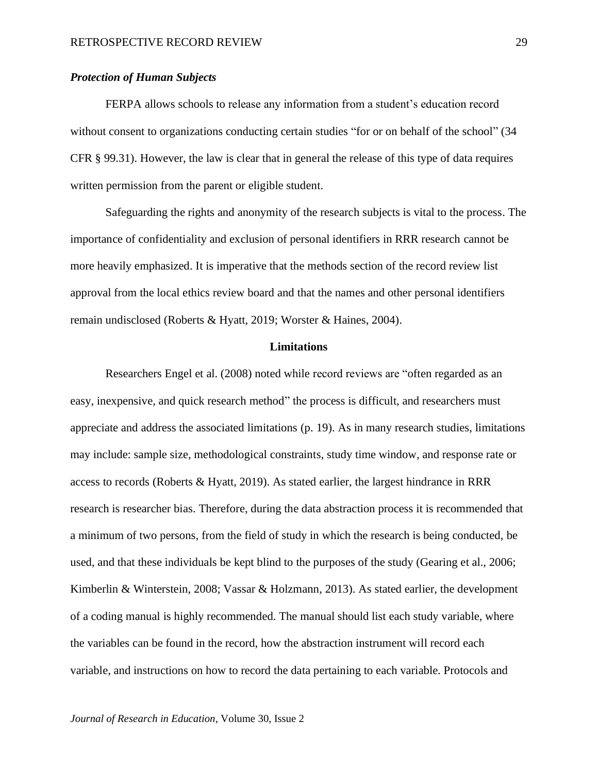# *Protection of Human Subjects*

FERPA allows schools to release any information from a student's education record without consent to organizations conducting certain studies "for or on behalf of the school" (34 CFR § 99.31). However, the law is clear that in general the release of this type of data requires written permission from the parent or eligible student.

Safeguarding the rights and anonymity of the research subjects is vital to the process. The importance of confidentiality and exclusion of personal identifiers in RRR research cannot be more heavily emphasized. It is imperative that the methods section of the record review list approval from the local ethics review board and that the names and other personal identifiers remain undisclosed (Roberts & Hyatt, 2019; Worster & Haines, 2004).

## **Limitations**

Researchers Engel et al. (2008) noted while record reviews are "often regarded as an easy, inexpensive, and quick research method" the process is difficult, and researchers must appreciate and address the associated limitations (p. 19). As in many research studies, limitations may include: sample size, methodological constraints, study time window, and response rate or access to records (Roberts & Hyatt, 2019). As stated earlier, the largest hindrance in RRR research is researcher bias. Therefore, during the data abstraction process it is recommended that a minimum of two persons, from the field of study in which the research is being conducted, be used, and that these individuals be kept blind to the purposes of the study (Gearing et al., 2006; Kimberlin & Winterstein, 2008; Vassar & Holzmann, 2013). As stated earlier, the development of a coding manual is highly recommended. The manual should list each study variable, where the variables can be found in the record, how the abstraction instrument will record each variable, and instructions on how to record the data pertaining to each variable. Protocols and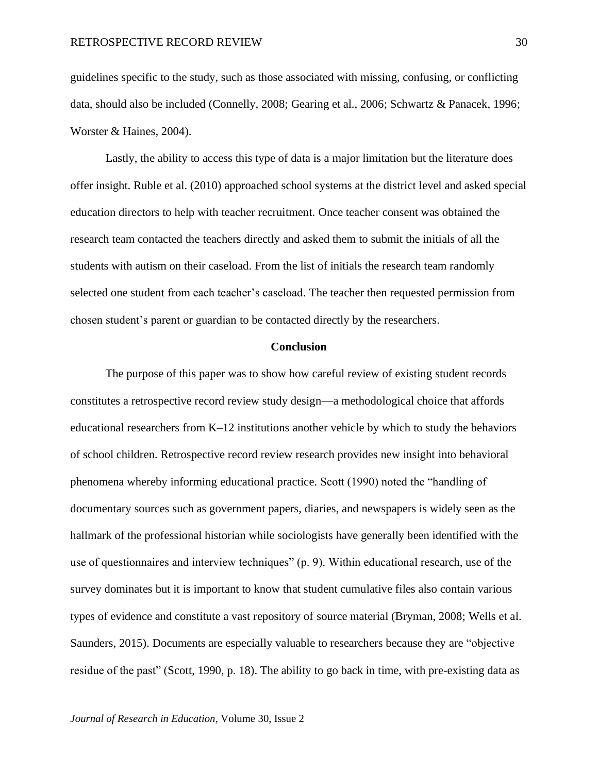guidelines specific to the study, such as those associated with missing, confusing, or conflicting data, should also be included (Connelly, 2008; Gearing et al., 2006; Schwartz & Panacek, 1996; Worster & Haines, 2004).

Lastly, the ability to access this type of data is a major limitation but the literature does offer insight. Ruble et al. (2010) approached school systems at the district level and asked special education directors to help with teacher recruitment. Once teacher consent was obtained the research team contacted the teachers directly and asked them to submit the initials of all the students with autism on their caseload. From the list of initials the research team randomly selected one student from each teacher's caseload. The teacher then requested permission from chosen student's parent or guardian to be contacted directly by the researchers.

# **Conclusion**

The purpose of this paper was to show how careful review of existing student records constitutes a retrospective record review study design—a methodological choice that affords educational researchers from K–12 institutions another vehicle by which to study the behaviors of school children. Retrospective record review research provides new insight into behavioral phenomena whereby informing educational practice. Scott (1990) noted the "handling of documentary sources such as government papers, diaries, and newspapers is widely seen as the hallmark of the professional historian while sociologists have generally been identified with the use of questionnaires and interview techniques" (p. 9). Within educational research, use of the survey dominates but it is important to know that student cumulative files also contain various types of evidence and constitute a vast repository of source material (Bryman, 2008; Wells et al. Saunders, 2015). Documents are especially valuable to researchers because they are "objective residue of the past" (Scott, 1990, p. 18). The ability to go back in time, with pre-existing data as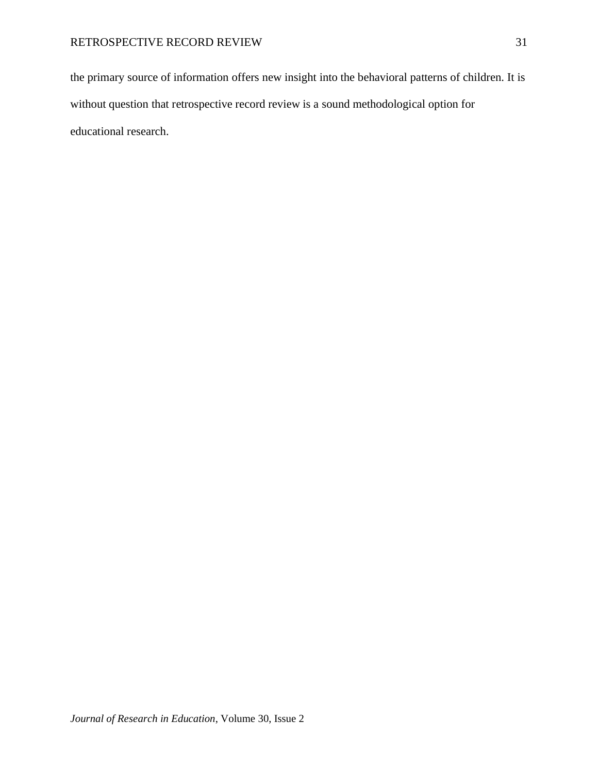the primary source of information offers new insight into the behavioral patterns of children. It is without question that retrospective record review is a sound methodological option for educational research.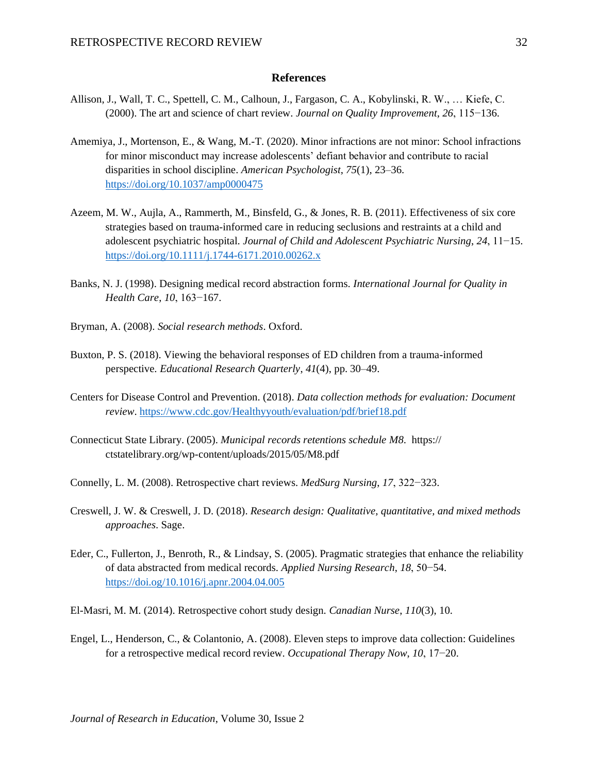# **References**

- Allison, J., Wall, T. C., Spettell, C. M., Calhoun, J., Fargason, C. A., Kobylinski, R. W., … Kiefe, C. (2000). The art and science of chart review. *Journal on Quality Improvement*, *26*, 115−136.
- Amemiya, J., Mortenson, E., & Wang, M.-T. (2020). Minor infractions are not minor: School infractions for minor misconduct may increase adolescents' defiant behavior and contribute to racial disparities in school discipline. *American Psychologist*, *75*(1), 23–36. <https://doi.org/10.1037/amp0000475>
- Azeem, M. W., Aujla, A., Rammerth, M., Binsfeld, G., & Jones, R. B. (2011). Effectiveness of six core strategies based on trauma-informed care in reducing seclusions and restraints at a child and adolescent psychiatric hospital. *Journal of Child and Adolescent Psychiatric Nursing*, *24*, 11−15. <https://doi.org/10.1111/j.1744-6171.2010.00262.x>
- Banks, N. J. (1998). Designing medical record abstraction forms. *International Journal for Quality in Health Care*, *10*, 163−167.
- Bryman, A. (2008). *Social research methods*. Oxford.
- Buxton, P. S. (2018). Viewing the behavioral responses of ED children from a trauma-informed perspective*. Educational Research Quarterly*, *41*(4), pp. 30–49.
- Centers for Disease Control and Prevention. (2018). *Data collection methods for evaluation: Document review*.<https://www.cdc.gov/Healthyyouth/evaluation/pdf/brief18.pdf>
- Connecticut State Library. (2005). *Municipal records retentions schedule M8*. https:// ctstatelibrary.org/wp-content/uploads/2015/05/M8.pdf
- Connelly, L. M. (2008). Retrospective chart reviews. *MedSurg Nursing*, *17*, 322−323.
- Creswell, J. W. & Creswell, J. D. (2018). *Research design: Qualitative, quantitative, and mixed methods approaches*. Sage.
- Eder, C., Fullerton, J., Benroth, R., & Lindsay, S. (2005). Pragmatic strategies that enhance the reliability of data abstracted from medical records. *Applied Nursing Research*, *18*, 50−54. <https://doi.og/10.1016/j.apnr.2004.04.005>
- El-Masri, M. M. (2014). Retrospective cohort study design. *Canadian Nurse*, *110*(3), 10.
- Engel, L., Henderson, C., & Colantonio, A. (2008). Eleven steps to improve data collection: Guidelines for a retrospective medical record review. *Occupational Therapy Now*, *10*, 17−20.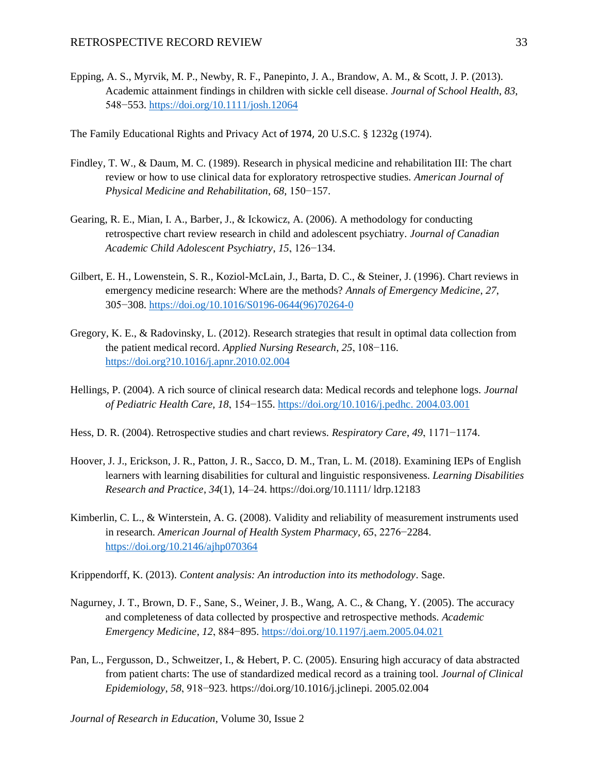Epping, A. S., Myrvik, M. P., Newby, R. F., Panepinto, J. A., Brandow, A. M., & Scott, J. P. (2013). Academic attainment findings in children with sickle cell disease. *Journal of School Health*, *83*, 548−553[. https://doi.org/10.1111/josh.12064](https://doi.org/10.1111/josh.12064)

The Family Educational Rights and Privacy Act of 1974, 20 U.S.C. § 1232g (1974).

- Findley, T. W., & Daum, M. C. (1989). Research in physical medicine and rehabilitation III: The chart review or how to use clinical data for exploratory retrospective studies. *American Journal of Physical Medicine and Rehabilitation*, *68*, 150−157.
- Gearing, R. E., Mian, I. A., Barber, J., & Ickowicz, A. (2006). A methodology for conducting retrospective chart review research in child and adolescent psychiatry. *Journal of Canadian Academic Child Adolescent Psychiatry*, *15*, 126−134.
- Gilbert, E. H., Lowenstein, S. R., Koziol-McLain, J., Barta, D. C., & Steiner, J. (1996). Chart reviews in emergency medicine research: Where are the methods? *Annals of Emergency Medicine*, *27*, 305−308[. https://doi.og/10.1016/S0196-0644\(96\)70264-0](https://doi.og/10.1016/S0196-0644(96)70264-0)
- Gregory, K. E., & Radovinsky, L. (2012). Research strategies that result in optimal data collection from the patient medical record. *Applied Nursing Research*, *25*, 108−116. [https://doi.org?10.1016/j.apnr.2010.02.004](https://doi.org/?10.1016/j.apnr.2010.02.004)
- Hellings, P. (2004). A rich source of clinical research data: Medical records and telephone logs. *Journal of Pediatric Health Care, 18*, 154−155. [https://doi.org/10.1016/j.pedhc. 2004.03.001](https://doi.org/10.1016/j.pedhc.%202004.03.001)
- Hess, D. R. (2004). Retrospective studies and chart reviews. *Respiratory Care*, *49*, 1171−1174.
- Hoover, J. J., Erickson, J. R., Patton, J. R., Sacco, D. M., Tran, L. M. (2018). Examining IEPs of English learners with learning disabilities for cultural and linguistic responsiveness. *Learning Disabilities Research and Practice*, *34*(1), 14–24. https://doi.org/10.1111/ ldrp.12183
- Kimberlin, C. L., & Winterstein, A. G. (2008). Validity and reliability of measurement instruments used in research. *American Journal of Health System Pharmacy, 65*, 2276−2284. <https://doi.org/10.2146/ajhp070364>

Krippendorff, K. (2013). *Content analysis: An introduction into its methodology*. Sage.

- Nagurney, J. T., Brown, D. F., Sane, S., Weiner, J. B., Wang, A. C., & Chang, Y. (2005). The accuracy and completeness of data collected by prospective and retrospective methods. *Academic Emergency Medicine*, *12*, 884−895.<https://doi.org/10.1197/j.aem.2005.04.021>
- Pan, L., Fergusson, D., Schweitzer, I., & Hebert, P. C. (2005). Ensuring high accuracy of data abstracted from patient charts: The use of standardized medical record as a training tool. *Journal of Clinical Epidemiology*, *58*, 918−923. https://doi.org/10.1016/j.jclinepi. 2005.02.004